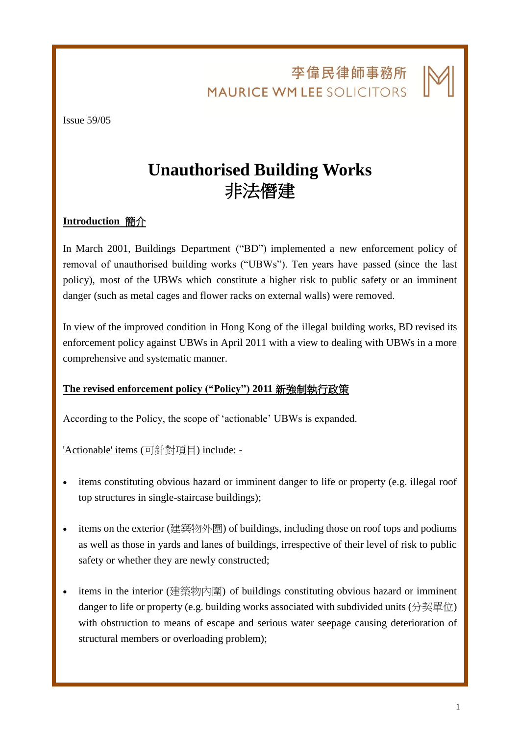李偉民律師事務所 **MAURICE WM LEE SOLICITORS** 

l.

Issue 59/05

# **Unauthorised Building Works** 非法僭建

# **Introduction** 簡介

In March 2001, Buildings Department ("BD") implemented a new enforcement policy of removal of unauthorised building works ("UBWs"). Ten years have passed (since the last policy), most of the UBWs which constitute a higher risk to public safety or an imminent danger (such as metal cages and flower racks on external walls) were removed.

In view of the improved condition in Hong Kong of the illegal building works, BD revised its enforcement policy against UBWs in April 2011 with a view to dealing with UBWs in a more comprehensive and systematic manner.

### **The revised enforcement policy ("Policy") 2011** 新強制執行政策

According to the Policy, the scope of 'actionable' UBWs is expanded.

'Actionable' items (可針對項目) include: -

- items constituting obvious hazard or imminent danger to life or property (e.g. illegal roof top structures in single-staircase buildings);
- items on the exterior (建築物外圍) of buildings, including those on roof tops and podiums as well as those in yards and lanes of buildings, irrespective of their level of risk to public safety or whether they are newly constructed;
- items in the interior (建築物內圍) of buildings constituting obvious hazard or imminent danger to life or property (e.g. building works associated with subdivided units  $(分$ 契單位) with obstruction to means of escape and serious water seepage causing deterioration of structural members or overloading problem);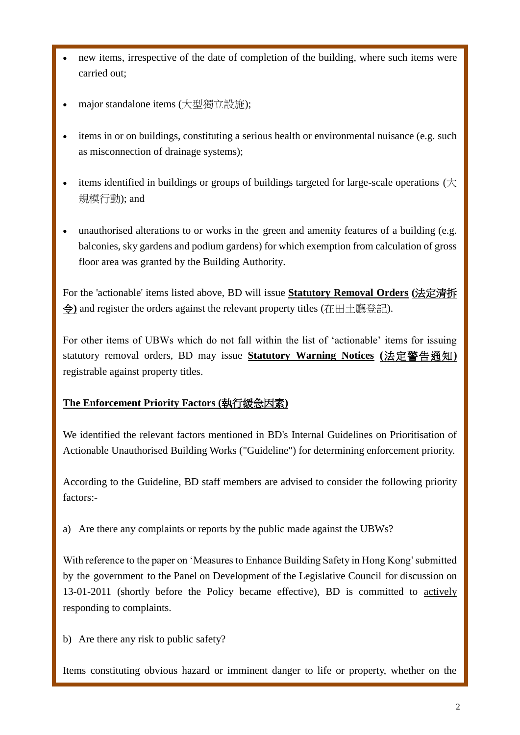- new items, irrespective of the date of completion of the building, where such items were carried out;
- major standalone items (大型獨立設施);
- items in or on buildings, constituting a serious health or environmental nuisance (e.g. such as misconnection of drainage systems);
- items identified in buildings or groups of buildings targeted for large-scale operations (大 規模行動); and
- unauthorised alterations to or works in the green and amenity features of a building (e.g. balconies, sky gardens and podium gardens) for which exemption from calculation of gross floor area was granted by the Building Authority.

For the 'actionable' items listed above, BD will issue **Statutory Removal Orders (**法定清拆 令**)** and register the orders against the relevant property titles (在田土廳登記).

For other items of UBWs which do not fall within the list of 'actionable' items for issuing statutory removal orders, BD may issue **Statutory Warning Notices (**法定警告通知**)** registrable against property titles.

# **The Enforcement Priority Factors (**執行緩急因素**)**

We identified the relevant factors mentioned in BD's Internal Guidelines on Prioritisation of Actionable Unauthorised Building Works ("Guideline") for determining enforcement priority.

According to the Guideline, BD staff members are advised to consider the following priority factors:-

a) Are there any complaints or reports by the public made against the UBWs?

With reference to the paper on 'Measures to Enhance Building Safety in Hong Kong' submitted by the government to the Panel on Development of the Legislative Council for discussion on 13-01-2011 (shortly before the Policy became effective), BD is committed to actively responding to complaints.

b) Are there any risk to public safety?

Items constituting obvious hazard or imminent danger to life or property, whether on the

l.